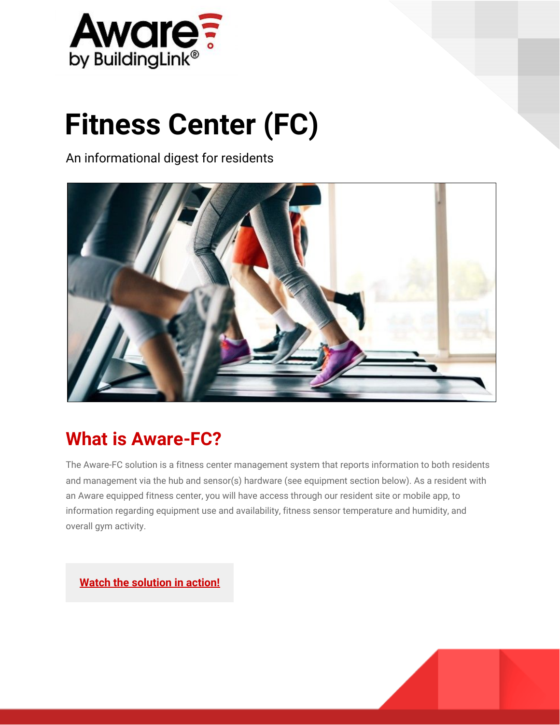

# **Fitness Center (FC)**

An informational digest for residents



# **What is Aware-FC?**

The Aware-FC solution is a fitness center management system that reports information to both residents and management via the hub and sensor(s) hardware (see equipment section below). As a resident with an Aware equipped fitness center, you will have access through our resident site or mobile app, to information regarding equipment use and availability, fitness sensor temperature and humidity, and overall gym activity.

**[Watch the solution in action!](https://vimeo.com/183024492)**

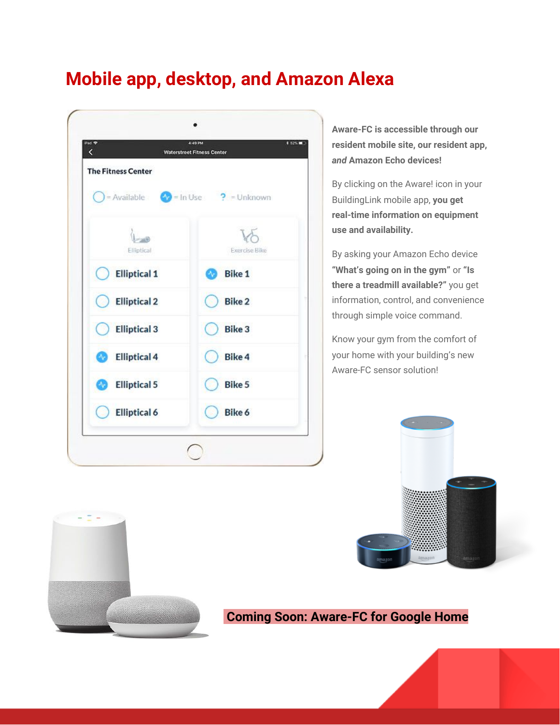## **Mobile app, desktop, and Amazon Alexa**



**Aware-FC is accessible through our resident mobile site, our resident app,** *and* **Amazon Echo devices!**

By clicking on the Aware! icon in your BuildingLink mobile app, **you get real-time information on equipment use and availability.**

By asking your Amazon Echo device **"What's going on in the gym"** or **"Is there a treadmill available?"** you get information, control, and convenience through simple voice command.

Know your gym from the comfort of your home with your building's new Aware-FC sensor solution!





#### **Coming Soon: Aware-FC for Google Home**